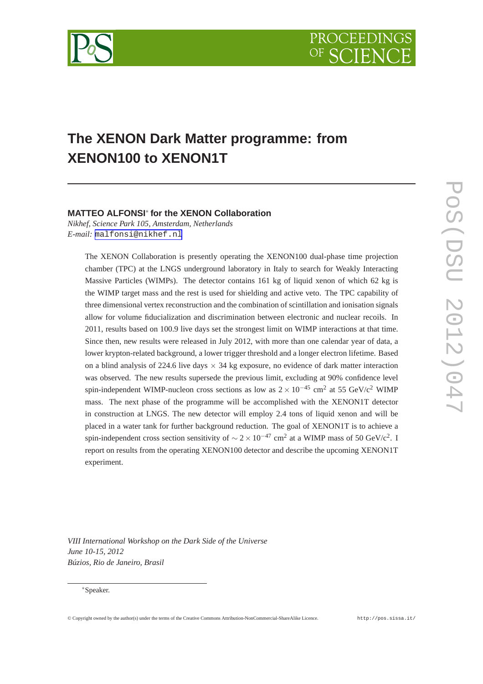

# **The XENON Dark Matter programme: from XENON100 to XENON1T**

# **MATTEO ALFONSI**<sup>∗</sup> **for the XENON Collaboration**

*Nikhef, Science Park 105, Amsterdam, Netherlands E-mail:* [malfonsi@nikhef.nl](mailto:malfonsi@nikhef.nl)

> The XENON Collaboration is presently operating the XENON100 dual-phase time projection chamber (TPC) at the LNGS underground laboratory in Italy to search for Weakly Interacting Massive Particles (WIMPs). The detector contains 161 kg of liquid xenon of which 62 kg is the WIMP target mass and the rest is used for shielding and active veto. The TPC capability of three dimensional vertex reconstruction and the combination of scintillation and ionisation signals allow for volume fiducialization and discrimination between electronic and nuclear recoils. In 2011, results based on 100.9 live days set the strongest limit on WIMP interactions at that time. Since then, new results were released in July 2012, with more than one calendar year of data, a lower krypton-related background, a lower trigger threshold and a longer electron lifetime. Based on a blind analysis of 224.6 live days  $\times$  34 kg exposure, no evidence of dark matter interaction was observed. The new results supersede the previous limit, excluding at 90% confidence level spin-independent WIMP-nucleon cross sections as low as  $2 \times 10^{-45}$  cm<sup>2</sup> at 55 GeV/c<sup>2</sup> WIMP mass. The next phase of the programme will be accomplished with the XENON1T detector in construction at LNGS. The new detector will employ 2.4 tons of liquid xenon and will be placed in a water tank for further background reduction. The goal of XENON1T is to achieve a spin-independent cross section sensitivity of  $\sim 2 \times 10^{-47}$  cm<sup>2</sup> at a WIMP mass of 50 GeV/c<sup>2</sup>. I report on results from the operating XENON100 detector and describe the upcoming XENON1T experiment.

*VIII International Workshop on the Dark Side of the Universe June 10-15, 2012 Búzios, Rio de Janeiro, Brasil*

#### <sup>∗</sup>Speaker.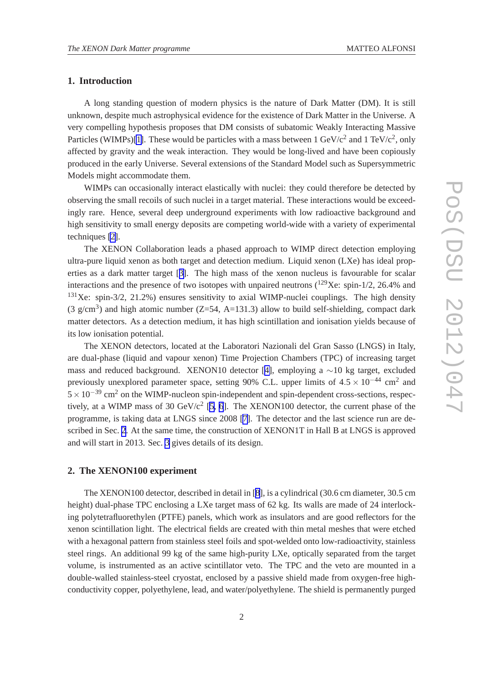## **1. Introduction**

A long standing question of modern physics is the nature of Dark Matter (DM). It is still unknown, despite much astrophysical evidence for the existence of Dark Matter in the Universe. A very compelling hypothesis proposes that DM consists of subatomic Weakly Interacting Massive Particles (WIMPs)[\[1\]](#page-6-0). These would be particles with a mass between 1 GeV/ $c^2$  and 1 TeV/ $c^2$ , only affected by gravity and the weak interaction. They would be long-lived and have been copiously produced in the early Universe. Several extensions of the Standard Model such as Supersymmetric Models might accommodate them.

WIMPs can occasionally interact elastically with nuclei: they could therefore be detected by observing the small recoils of such nuclei in a target material. These interactions would be exceedingly rare. Hence, several deep underground experiments with low radioactive background and high sensitivity to small energy deposits are competing world-wide with a variety of experimental techniques [\[2\]](#page-6-0).

The XENON Collaboration leads a phased approach to WIMP direct detection employing ultra-pure liquid xenon as both target and detection medium. Liquid xenon (LXe) has ideal properties as a dark matter target [[3](#page-6-0)]. The high mass of the xenon nucleus is favourable for scalar interactions and the presence of two isotopes with unpaired neutrons  $(^{129}Xe$ : spin-1/2, 26.4% and  $131$ Xe: spin-3/2, 21.2%) ensures sensitivity to axial WIMP-nuclei couplings. The high density (3 g/cm<sup>3</sup>) and high atomic number (Z=54, A=131.3) allow to build self-shielding, compact dark matter detectors. As a detection medium, it has high scintillation and ionisation yields because of its low ionisation potential.

The XENON detectors, located at the Laboratori Nazionali del Gran Sasso (LNGS) in Italy, are dual-phase (liquid and vapour xenon) Time Projection Chambers (TPC) of increasing target mass and reduced background. XENON10 detector [\[4\]](#page-6-0), employing a  $\sim$ 10 kg target, excluded previously unexplored parameter space, setting 90% C.L. upper limits of  $4.5 \times 10^{-44}$  cm<sup>2</sup> and  $5 \times 10^{-39}$  cm<sup>2</sup> on the WIMP-nucleon spin-independent and spin-dependent cross-sections, respectively, at a WIMP mass of 30  $GeV/c^2$  [\[5, 6](#page-6-0)]. The XENON100 detector, the current phase of the programme, is taking data at LNGS since 2008 [\[7\]](#page-6-0). The detector and the last science run are described in Sec. 2. At the same time, the construction of XENON1T in Hall B at LNGS is approved and will start in 2013. Sec. [3](#page-4-0) gives details of its design.

## **2. The XENON100 experiment**

The XENON100 detector, described in detail in [[8](#page-6-0)], is a cylindrical (30.6 cm diameter, 30.5 cm height) dual-phase TPC enclosing a LXe target mass of 62 kg. Its walls are made of 24 interlocking polytetrafluorethylen (PTFE) panels, which work as insulators and are good reflectors for the xenon scintillation light. The electrical fields are created with thin metal meshes that were etched with a hexagonal pattern from stainless steel foils and spot-welded onto low-radioactivity, stainless steel rings. An additional 99 kg of the same high-purity LXe, optically separated from the target volume, is instrumented as an active scintillator veto. The TPC and the veto are mounted in a double-walled stainless-steel cryostat, enclosed by a passive shield made from oxygen-free highconductivity copper, polyethylene, lead, and water/polyethylene. The shield is permanently purged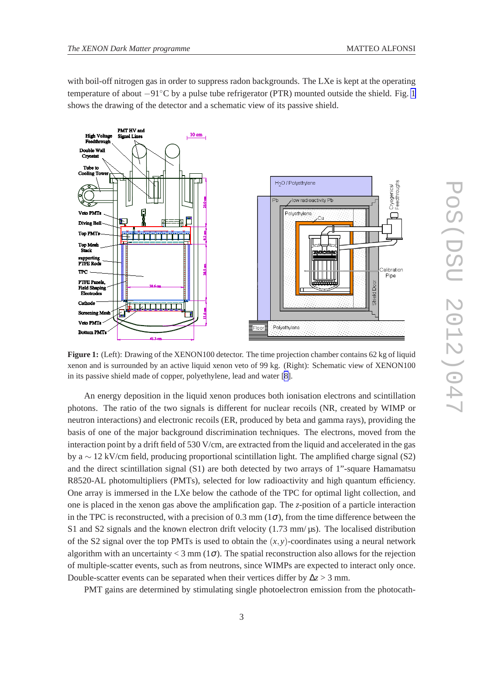<span id="page-2-0"></span>with boil-off nitrogen gas in order to suppress radon backgrounds. The LXe is kept at the operating temperature of about −91◦C by a pulse tube refrigerator (PTR) mounted outside the shield. Fig. 1 shows the drawing of the detector and a schematic view of its passive shield.



**Figure 1:** (Left): Drawing of the XENON100 detector. The time projection chamber contains 62 kg of liquid xenon and is surrounded by an active liquid xenon veto of 99 kg. (Right): Schematic view of XENON100 in its passive shield made of copper, polyethylene, lead and water [[8\]](#page-6-0).

An energy deposition in the liquid xenon produces both ionisation electrons and scintillation photons. The ratio of the two signals is different for nuclear recoils (NR, created by WIMP or neutron interactions) and electronic recoils (ER, produced by beta and gamma rays), providing the basis of one of the major background discrimination techniques. The electrons, moved from the interaction point by a drift field of 530 V/cm, are extracted from the liquid and accelerated in the gas by a ∼ 12 kV/cm field, producing proportional scintillation light. The amplified charge signal (S2) and the direct scintillation signal (S1) are both detected by two arrays of 1"-square Hamamatsu R8520-AL photomultipliers (PMTs), selected for low radioactivity and high quantum efficiency. One array is immersed in the LXe below the cathode of the TPC for optimal light collection, and one is placed in the xenon gas above the amplification gap. The *z*-position of a particle interaction in the TPC is reconstructed, with a precision of 0.3 mm  $(1\sigma)$ , from the time difference between the S1 and S2 signals and the known electron drift velocity  $(1.73 \text{ mm}/\text{\mu s})$ . The localised distribution of the S2 signal over the top PMTs is used to obtain the  $(x, y)$ -coordinates using a neural network algorithm with an uncertainty  $\lt 3$  mm  $(1\sigma)$ . The spatial reconstruction also allows for the rejection of multiple-scatter events, such as from neutrons, since WIMPs are expected to interact only once. Double-scatter events can be separated when their vertices differ by ∆*z* > 3 mm.

PMT gains are determined by stimulating single photoelectron emission from the photocath-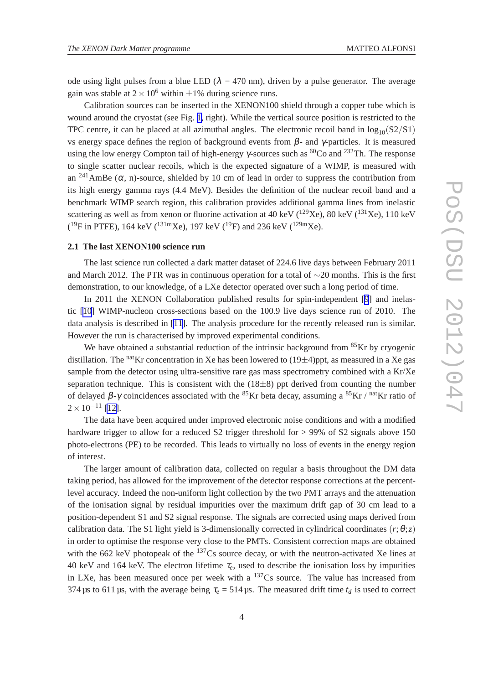ode using light pulses from a blue LED ( $\lambda = 470$  nm), driven by a pulse generator. The average gain was stable at  $2 \times 10^6$  within  $\pm 1\%$  during science runs.

Calibration sources can be inserted in the XENON100 shield through a copper tube which is wound around the cryostat (see Fig. [1,](#page-2-0) right). While the vertical source position is restricted to the TPC centre, it can be placed at all azimuthal angles. The electronic recoil band in  $log_{10}(S2/S1)$ vs energy space defines the region of background events from  $β$ - and γ-particles. It is measured using the low energy Compton tail of high-energy  $\gamma$ -sources such as <sup>60</sup>Co and <sup>232</sup>Th. The response to single scatter nuclear recoils, which is the expected signature of a WIMP, is measured with an <sup>241</sup>AmBe ( $\alpha$ , n)-source, shielded by 10 cm of lead in order to suppress the contribution from its high energy gamma rays (4.4 MeV). Besides the definition of the nuclear recoil band and a benchmark WIMP search region, this calibration provides additional gamma lines from inelastic scattering as well as from xenon or fluorine activation at 40 keV ( $^{129}$ Xe), 80 keV ( $^{131}$ Xe), 110 keV  $(^{19}F$  in PTFE), 164 keV  $(^{131m}Xe)$ , 197 keV  $(^{19}F)$  and 236 keV  $(^{129m}Xe)$ .

#### **2.1 The last XENON100 science run**

The last science run collected a dark matter dataset of 224.6 live days between February 2011 and March 2012. The PTR was in continuous operation for a total of ∼20 months. This is the first demonstration, to our knowledge, of a LXe detector operated over such a long period of time.

In 2011 the XENON Collaboration published results for spin-independent [\[9](#page-6-0)] and inelastic [\[10](#page-6-0)] WIMP-nucleon cross-sections based on the 100.9 live days science run of 2010. The data analysis is described in [[11\]](#page-6-0). The analysis procedure for the recently released run is similar. However the run is characterised by improved experimental conditions.

We have obtained a substantial reduction of the intrinsic background from <sup>85</sup>Kr by cryogenic distillation. The <sup>nat</sup>Kr concentration in Xe has been lowered to  $(19\pm4)$ ppt, as measured in a Xe gas sample from the detector using ultra-sensitive rare gas mass spectrometry combined with a Kr/Xe separation technique. This is consistent with the  $(18\pm8)$  ppt derived from counting the number of delayed  $\beta$ -γ coincidences associated with the <sup>85</sup>Kr beta decay, assuming a <sup>85</sup>Kr / <sup>nat</sup>Kr ratio of  $2 \times 10^{-11}$  [\[12](#page-6-0)].

The data have been acquired under improved electronic noise conditions and with a modified hardware trigger to allow for a reduced S2 trigger threshold for  $> 99\%$  of S2 signals above 150 photo-electrons (PE) to be recorded. This leads to virtually no loss of events in the energy region of interest.

The larger amount of calibration data, collected on regular a basis throughout the DM data taking period, has allowed for the improvement of the detector response corrections at the percentlevel accuracy. Indeed the non-uniform light collection by the two PMT arrays and the attenuation of the ionisation signal by residual impurities over the maximum drift gap of 30 cm lead to a position-dependent S1 and S2 signal response. The signals are corrected using maps derived from calibration data. The S1 light yield is 3-dimensionally corrected in cylindrical coordinates  $(r, \theta; z)$ in order to optimise the response very close to the PMTs. Consistent correction maps are obtained with the 662 keV photopeak of the  $137Cs$  source decay, or with the neutron-activated Xe lines at 40 keV and 164 keV. The electron lifetime  $\tau_e$ , used to describe the ionisation loss by impurities in LXe, has been measured once per week with a  $137Cs$  source. The value has increased from 374 μs to 611 μs, with the average being  $\tau_e = 514$  μs. The measured drift time  $t_d$  is used to correct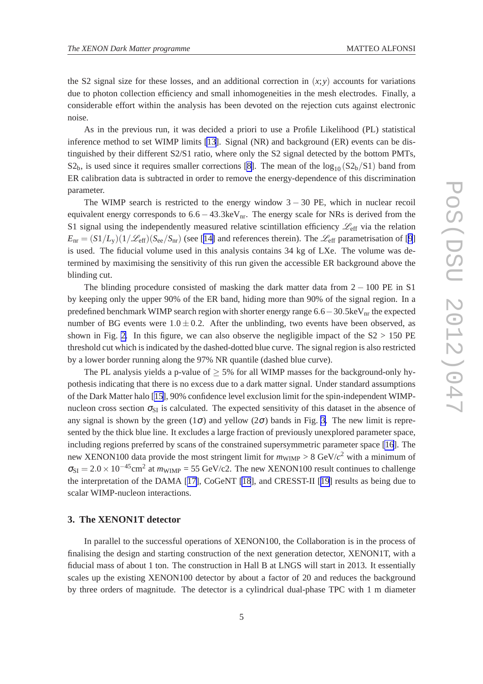<span id="page-4-0"></span>the S2 signal size for these losses, and an additional correction in  $(x, y)$  accounts for variations due to photon collection efficiency and small inhomogeneities in the mesh electrodes. Finally, a considerable effort within the analysis has been devoted on the rejection cuts against electronic noise.

As in the previous run, it was decided a priori to use a Profile Likelihood (PL) statistical inference method to set WIMP limits [\[13](#page-7-0)]. Signal (NR) and background (ER) events can be distinguished by their different S2/S1 ratio, where only the S2 signal detected by the bottom PMTs,  $S_2$ , is used since it requires smaller corrections [\[8\]](#page-6-0). The mean of the  $\log_{10} (S_2$ <sub>b</sub>/S1) band from ER calibration data is subtracted in order to remove the energy-dependence of this discrimination parameter.

The WIMP search is restricted to the energy window  $3 - 30$  PE, which in nuclear recoil equivalent energy corresponds to  $6.6 - 43.3$ keV<sub>nr</sub>. The energy scale for NRs is derived from the S1 signal using the independently measured relative scintillation efficiency  $\mathscr{L}_{\text{eff}}$  via the relation  $E_{\rm nr} = (S1/L_{\rm v})(1/\mathscr{L}_{\rm eff})(S_{\rm ee}/S_{\rm nr})$  (see [[14\]](#page-7-0) and references therein). The  $\mathscr{L}_{\rm eff}$  parametrisation of [[9](#page-6-0)] is used. The fiducial volume used in this analysis contains 34 kg of LXe. The volume was determined by maximising the sensitivity of this run given the accessible ER background above the blinding cut.

The blinding procedure consisted of masking the dark matter data from  $2 - 100$  PE in S1 by keeping only the upper 90% of the ER band, hiding more than 90% of the signal region. In a predefined benchmark WIMP search region with shorter energy range  $6.6-30.5$ keV<sub>nr</sub> the expected number of BG events were  $1.0 \pm 0.2$ . After the unblinding, two events have been observed, as shown in Fig. [2.](#page-5-0) In this figure, we can also observe the negligible impact of the  $S2 > 150$  PE threshold cut which is indicated by the dashed-dotted blue curve. The signal region is also restricted by a lower border running along the 97% NR quantile (dashed blue curve).

The PL analysis yields a p-value of  $> 5\%$  for all WIMP masses for the background-only hypothesis indicating that there is no excess due to a dark matter signal. Under standard assumptions of the Dark Matter halo [\[15\]](#page-7-0), 90% confidence level exclusion limit for the spin-independent WIMPnucleon cross section  $\sigma_{SI}$  is calculated. The expected sensitivity of this dataset in the absence of any signal is shown by the green  $(1\sigma)$  and yellow  $(2\sigma)$  bands in Fig. [3.](#page-5-0) The new limit is represented by the thick blue line. It excludes a large fraction of previously unexplored parameter space, including regions preferred by scans of the constrained supersymmetric parameter space [\[16](#page-7-0)]. The new XENON100 data provide the most stringent limit for  $m_{\text{WIMP}} > 8 \text{ GeV}/c^2$  with a minimum of  $\sigma_{SI} = 2.0 \times 10^{-45}$  cm<sup>2</sup> at  $m_{\text{WIMP}} = 55$  GeV/c2. The new XENON100 result continues to challenge the interpretation of the DAMA [[17\]](#page-7-0), CoGeNT [\[18](#page-7-0)], and CRESST-II [[19\]](#page-7-0) results as being due to scalar WIMP-nucleon interactions.

### **3. The XENON1T detector**

In parallel to the successful operations of XENON100, the Collaboration is in the process of finalising the design and starting construction of the next generation detector, XENON1T, with a fiducial mass of about 1 ton. The construction in Hall B at LNGS will start in 2013. It essentially scales up the existing XENON100 detector by about a factor of 20 and reduces the background by three orders of magnitude. The detector is a cylindrical dual-phase TPC with 1 m diameter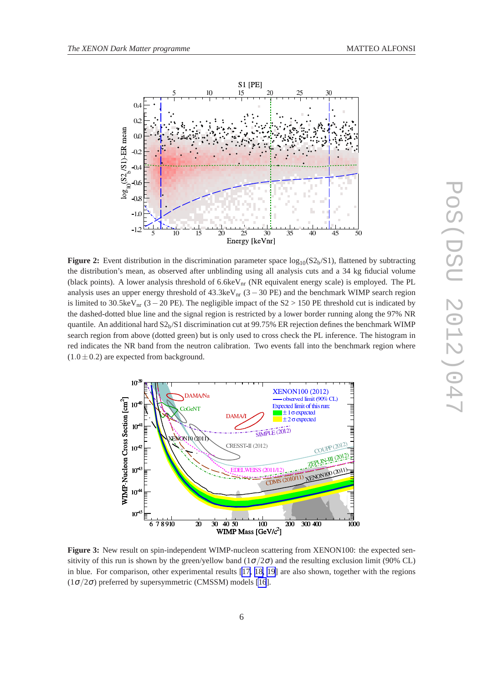<span id="page-5-0"></span>

**Figure 2:** Event distribution in the discrimination parameter space  $log_{10}(S2_b/S1)$ , flattened by subtracting the distribution's mean, as observed after unblinding using all analysis cuts and a 34 kg fiducial volume (black points). A lower analysis threshold of  $6.6 \text{keV}_{\text{nr}}$  (NR equivalent energy scale) is employed. The PL analysis uses an upper energy threshold of  $43.3 \text{keV}_{nr}$  (3 – 30 PE) and the benchmark WIMP search region is limited to 30.5keV<sub>nr</sub> (3−20 PE). The negligible impact of the S2 > 150 PE threshold cut is indicated by the dashed-dotted blue line and the signal region is restricted by a lower border running along the 97% NR quantile. An additional hard  $S2<sub>b</sub>/S1$  discrimination cut at 99.75% ER rejection defines the benchmark WIMP search region from above (dotted green) but is only used to cross check the PL inference. The histogram in red indicates the NR band from the neutron calibration. Two events fall into the benchmark region where  $(1.0 \pm 0.2)$  are expected from background.



**Figure 3:** New result on spin-independent WIMP-nucleon scattering from XENON100: the expected sensitivity of this run is shown by the green/yellow band  $(1\sigma/2\sigma)$  and the resulting exclusion limit (90% CL) in blue. For comparison, other experimental results [\[17](#page-7-0), [18, 19](#page-7-0)] are also shown, together with the regions  $(1\sigma/2\sigma)$  preferred by supersymmetric (CMSSM) models [\[16](#page-7-0)].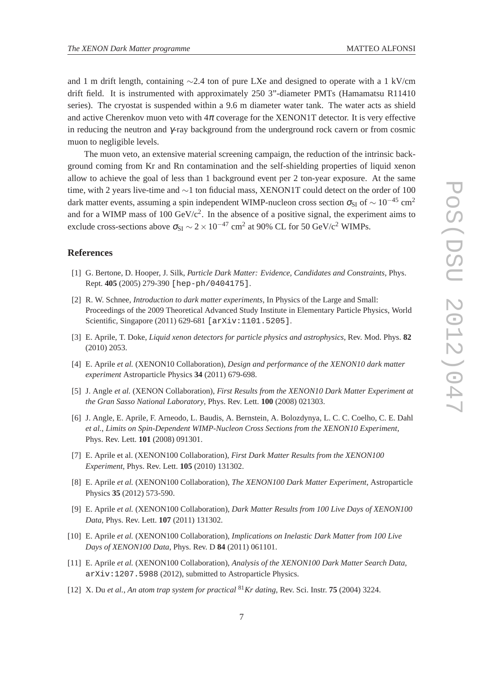<span id="page-6-0"></span>and 1 m drift length, containing ∼2.4 ton of pure LXe and designed to operate with a 1 kV/cm drift field. It is instrumented with approximately 250 3"-diameter PMTs (Hamamatsu R11410 series). The cryostat is suspended within a 9.6 m diameter water tank. The water acts as shield and active Cherenkov muon veto with  $4\pi$  coverage for the XENON1T detector. It is very effective in reducing the neutron and  $\gamma$ -ray background from the underground rock cavern or from cosmic muon to negligible levels.

The muon veto, an extensive material screening campaign, the reduction of the intrinsic background coming from Kr and Rn contamination and the self-shielding properties of liquid xenon allow to achieve the goal of less than 1 background event per 2 ton-year exposure. At the same time, with 2 years live-time and ∼1 ton fiducial mass, XENON1T could detect on the order of 100 dark matter events, assuming a spin independent WIMP-nucleon cross section  $\sigma_{SI}$  of  $\sim 10^{-45}$  cm<sup>2</sup> and for a WIMP mass of 100  $GeV/c^2$ . In the absence of a positive signal, the experiment aims to exclude cross-sections above  $\sigma_{SI} \sim 2 \times 10^{-47}$  cm<sup>2</sup> at 90% CL for 50 GeV/c<sup>2</sup> WIMPs.

### **References**

- [1] G. Bertone, D. Hooper, J. Silk, *Particle Dark Matter: Evidence, Candidates and Constraints*, Phys. Rept. **405** (2005) 279-390 [hep-ph/0404175].
- [2] R. W. Schnee, *Introduction to dark matter experiments*, In Physics of the Large and Small: Proceedings of the 2009 Theoretical Advanced Study Institute in Elementary Particle Physics, World Scientific, Singapore (2011) 629-681 [arXiv:1101.5205].
- [3] E. Aprile, T. Doke, *Liquid xenon detectors for particle physics and astrophysics*, Rev. Mod. Phys. **82** (2010) 2053.
- [4] E. Aprile *et al.* (XENON10 Collaboration), *Design and performance of the XENON10 dark matter experiment* Astroparticle Physics **34** (2011) 679-698.
- [5] J. Angle *et al.* (XENON Collaboration), *First Results from the XENON10 Dark Matter Experiment at the Gran Sasso National Laboratory*, Phys. Rev. Lett. **100** (2008) 021303.
- [6] J. Angle, E. Aprile, F. Arneodo, L. Baudis, A. Bernstein, A. Bolozdynya, L. C. C. Coelho, C. E. Dahl *et al.*, *Limits on Spin-Dependent WIMP-Nucleon Cross Sections from the XENON10 Experiment*, Phys. Rev. Lett. **101** (2008) 091301.
- [7] E. Aprile et al. (XENON100 Collaboration), *First Dark Matter Results from the XENON100 Experiment*, Phys. Rev. Lett. **105** (2010) 131302.
- [8] E. Aprile *et al.* (XENON100 Collaboration), *The XENON100 Dark Matter Experiment*, Astroparticle Physics **35** (2012) 573-590.
- [9] E. Aprile *et al.* (XENON100 Collaboration), *Dark Matter Results from 100 Live Days of XENON100 Data*, Phys. Rev. Lett. **107** (2011) 131302.
- [10] E. Aprile *et al.* (XENON100 Collaboration), *Implications on Inelastic Dark Matter from 100 Live Days of XENON100 Data*, Phys. Rev. D **84** (2011) 061101.
- [11] E. Aprile *et al.* (XENON100 Collaboration), *Analysis of the XENON100 Dark Matter Search Data*, arXiv:1207.5988 (2012), submitted to Astroparticle Physics.
- [12] X. Du *et al.*, *An atom trap system for practical* <sup>81</sup>*Kr dating*, Rev. Sci. Instr. **75** (2004) 3224.